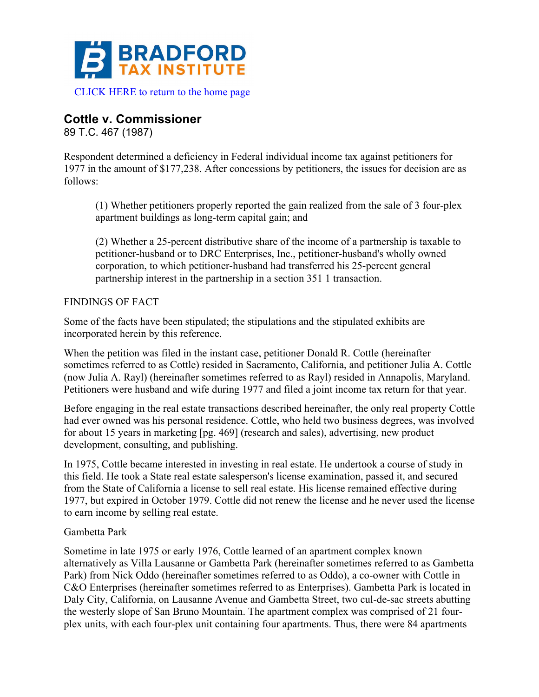

# **Cottle v. Commissioner**

89 T.C. 467 (1987)

Respondent determined a deficiency in Federal individual income tax against petitioners for 1977 in the amount of \$177,238. After concessions by petitioners, the issues for decision are as follows:

(1) Whether petitioners properly reported the gain realized from the sale of 3 four-plex apartment buildings as long-term capital gain; and

(2) Whether a 25-percent distributive share of the income of a partnership is taxable to petitioner-husband or to DRC Enterprises, Inc., petitioner-husband's wholly owned corporation, to which petitioner-husband had transferred his 25-percent general partnership interest in the partnership in a section 351 1 transaction.

## FINDINGS OF FACT

Some of the facts have been stipulated; the stipulations and the stipulated exhibits are incorporated herein by this reference.

When the petition was filed in the instant case, petitioner Donald R. Cottle (hereinafter sometimes referred to as Cottle) resided in Sacramento, California, and petitioner Julia A. Cottle (now Julia A. Rayl) (hereinafter sometimes referred to as Rayl) resided in Annapolis, Maryland. Petitioners were husband and wife during 1977 and filed a joint income tax return for that year.

Before engaging in the real estate transactions described hereinafter, the only real property Cottle had ever owned was his personal residence. Cottle, who held two business degrees, was involved for about 15 years in marketing [pg. 469] (research and sales), advertising, new product development, consulting, and publishing.

In 1975, Cottle became interested in investing in real estate. He undertook a course of study in this field. He took a State real estate salesperson's license examination, passed it, and secured from the State of California a license to sell real estate. His license remained effective during 1977, but expired in October 1979. Cottle did not renew the license and he never used the license to earn income by selling real estate.

## Gambetta Park

Sometime in late 1975 or early 1976, Cottle learned of an apartment complex known alternatively as Villa Lausanne or Gambetta Park (hereinafter sometimes referred to as Gambetta Park) from Nick Oddo (hereinafter sometimes referred to as Oddo), a co-owner with Cottle in C&O Enterprises (hereinafter sometimes referred to as Enterprises). Gambetta Park is located in Daly City, California, on Lausanne Avenue and Gambetta Street, two cul-de-sac streets abutting the westerly slope of San Bruno Mountain. The apartment complex was comprised of 21 fourplex units, with each four-plex unit containing four apartments. Thus, there were 84 apartments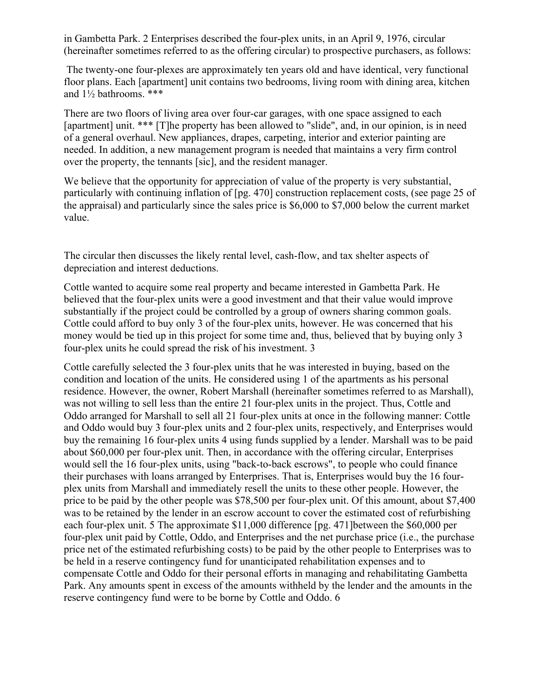in Gambetta Park. 2 Enterprises described the four-plex units, in an April 9, 1976, circular (hereinafter sometimes referred to as the offering circular) to prospective purchasers, as follows:

The twenty-one four-plexes are approximately ten years old and have identical, very functional floor plans. Each [apartment] unit contains two bedrooms, living room with dining area, kitchen and 1½ bathrooms. \*\*\*

There are two floors of living area over four-car garages, with one space assigned to each [apartment] unit. \*\*\* [T]he property has been allowed to "slide", and, in our opinion, is in need of a general overhaul. New appliances, drapes, carpeting, interior and exterior painting are needed. In addition, a new management program is needed that maintains a very firm control over the property, the tennants [sic], and the resident manager.

We believe that the opportunity for appreciation of value of the property is very substantial, particularly with continuing inflation of [pg. 470] construction replacement costs, (see page 25 of the appraisal) and particularly since the sales price is \$6,000 to \$7,000 below the current market value.

The circular then discusses the likely rental level, cash-flow, and tax shelter aspects of depreciation and interest deductions.

Cottle wanted to acquire some real property and became interested in Gambetta Park. He believed that the four-plex units were a good investment and that their value would improve substantially if the project could be controlled by a group of owners sharing common goals. Cottle could afford to buy only 3 of the four-plex units, however. He was concerned that his money would be tied up in this project for some time and, thus, believed that by buying only 3 four-plex units he could spread the risk of his investment. 3

Cottle carefully selected the 3 four-plex units that he was interested in buying, based on the condition and location of the units. He considered using 1 of the apartments as his personal residence. However, the owner, Robert Marshall (hereinafter sometimes referred to as Marshall), was not willing to sell less than the entire 21 four-plex units in the project. Thus, Cottle and Oddo arranged for Marshall to sell all 21 four-plex units at once in the following manner: Cottle and Oddo would buy 3 four-plex units and 2 four-plex units, respectively, and Enterprises would buy the remaining 16 four-plex units 4 using funds supplied by a lender. Marshall was to be paid about \$60,000 per four-plex unit. Then, in accordance with the offering circular, Enterprises would sell the 16 four-plex units, using "back-to-back escrows", to people who could finance their purchases with loans arranged by Enterprises. That is, Enterprises would buy the 16 fourplex units from Marshall and immediately resell the units to these other people. However, the price to be paid by the other people was \$78,500 per four-plex unit. Of this amount, about \$7,400 was to be retained by the lender in an escrow account to cover the estimated cost of refurbishing each four-plex unit. 5 The approximate \$11,000 difference [pg. 471]between the \$60,000 per four-plex unit paid by Cottle, Oddo, and Enterprises and the net purchase price (i.e., the purchase price net of the estimated refurbishing costs) to be paid by the other people to Enterprises was to be held in a reserve contingency fund for unanticipated rehabilitation expenses and to compensate Cottle and Oddo for their personal efforts in managing and rehabilitating Gambetta Park. Any amounts spent in excess of the amounts withheld by the lender and the amounts in the reserve contingency fund were to be borne by Cottle and Oddo. 6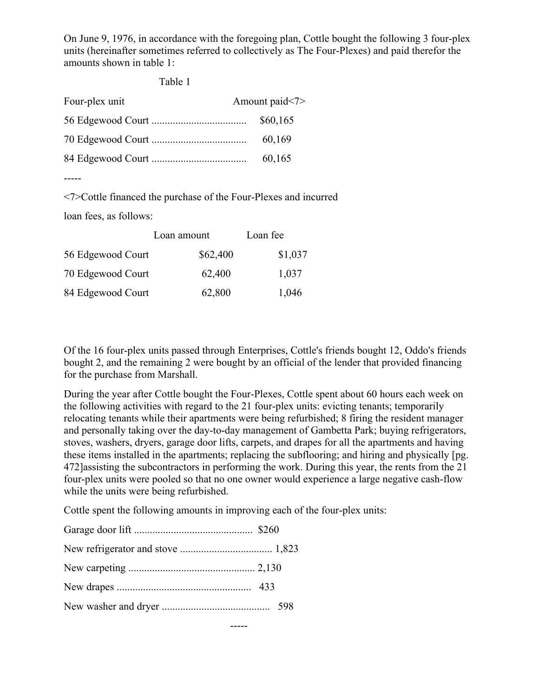On June 9, 1976, in accordance with the foregoing plan, Cottle bought the following 3 four-plex units (hereinafter sometimes referred to collectively as The Four-Plexes) and paid therefor the amounts shown in table 1:

Table 1

| Four-plex unit | Amount paid<7> |
|----------------|----------------|
|                | \$60,165       |
|                | 60,169         |
|                | 60,165         |
|                |                |

-----

<7>Cottle financed the purchase of the Four-Plexes and incurred

loan fees, as follows:

|                   | Loan amount | Loan fee |  |
|-------------------|-------------|----------|--|
| 56 Edgewood Court | \$62,400    | \$1,037  |  |
| 70 Edgewood Court | 62,400      | 1,037    |  |
| 84 Edgewood Court | 62,800      | 1,046    |  |

Of the 16 four-plex units passed through Enterprises, Cottle's friends bought 12, Oddo's friends bought 2, and the remaining 2 were bought by an official of the lender that provided financing for the purchase from Marshall.

During the year after Cottle bought the Four-Plexes, Cottle spent about 60 hours each week on the following activities with regard to the 21 four-plex units: evicting tenants; temporarily relocating tenants while their apartments were being refurbished; 8 firing the resident manager and personally taking over the day-to-day management of Gambetta Park; buying refrigerators, stoves, washers, dryers, garage door lifts, carpets, and drapes for all the apartments and having these items installed in the apartments; replacing the subflooring; and hiring and physically [pg. 472]assisting the subcontractors in performing the work. During this year, the rents from the 21 four-plex units were pooled so that no one owner would experience a large negative cash-flow while the units were being refurbished.

Cottle spent the following amounts in improving each of the four-plex units:

-----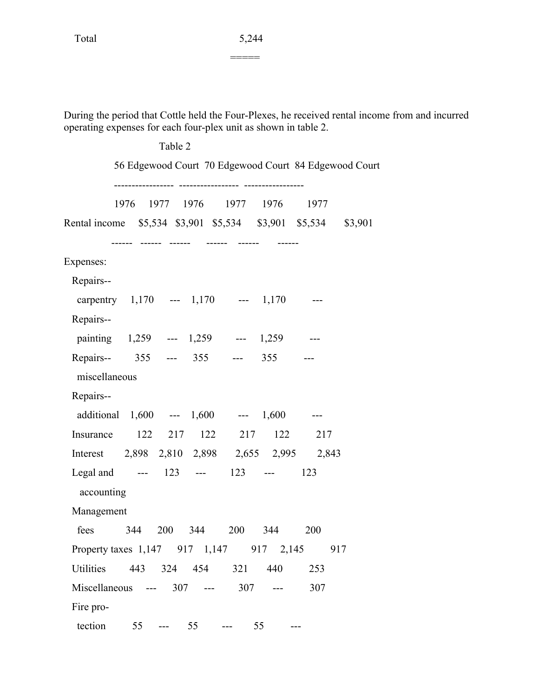During the period that Cottle held the Four-Plexes, he received rental income from and incurred operating expenses for each four-plex unit as shown in table 2.

|                                                               |    | Table 2 |                            |                               |                                                       |  |
|---------------------------------------------------------------|----|---------|----------------------------|-------------------------------|-------------------------------------------------------|--|
|                                                               |    |         |                            |                               | 56 Edgewood Court 70 Edgewood Court 84 Edgewood Court |  |
|                                                               |    |         | ---------------- --------- | 1976 1977 1976 1977 1976 1977 |                                                       |  |
| Rental income \$5,534 \$3,901 \$5,534 \$3,901 \$5,534 \$3,901 |    |         |                            |                               |                                                       |  |
| Expenses:                                                     |    |         |                            |                               |                                                       |  |
| Repairs--                                                     |    |         |                            |                               |                                                       |  |
| carpentry 1,170 --- 1,170 --- 1,170 ---                       |    |         |                            |                               |                                                       |  |
| Repairs--                                                     |    |         |                            |                               |                                                       |  |
| painting 1,259 --- 1,259 --- 1,259 ---                        |    |         |                            |                               |                                                       |  |
| Repairs-- 355 --- 355 --- 355 ---                             |    |         |                            |                               |                                                       |  |
| miscellaneous                                                 |    |         |                            |                               |                                                       |  |
| Repairs--                                                     |    |         |                            |                               |                                                       |  |
| additional 1,600 --- 1,600 --- 1,600 ---                      |    |         |                            |                               |                                                       |  |
| Insurance 122 217 122 217 122 217                             |    |         |                            |                               |                                                       |  |
| Interest 2,898 2,810 2,898 2,655 2,995 2,843                  |    |         |                            |                               |                                                       |  |
| Legal and --- 123 --- 123 --- 123                             |    |         |                            |                               |                                                       |  |
| accounting                                                    |    |         |                            |                               |                                                       |  |
| Management                                                    |    |         |                            |                               |                                                       |  |
| fees 344 200 344 200 344 200                                  |    |         |                            |                               |                                                       |  |
| Property taxes 1,147 917 1,147 917 2,145 917                  |    |         |                            |                               |                                                       |  |
| Utilities                                                     |    |         | 443 324 454 321            | 440                           | 253                                                   |  |
| Miscellaneous --- 307 --- 307 ---                             |    |         |                            |                               | 307                                                   |  |
| Fire pro-                                                     |    |         |                            |                               |                                                       |  |
| tection                                                       | 55 | $-- 55$ |                            | 55                            |                                                       |  |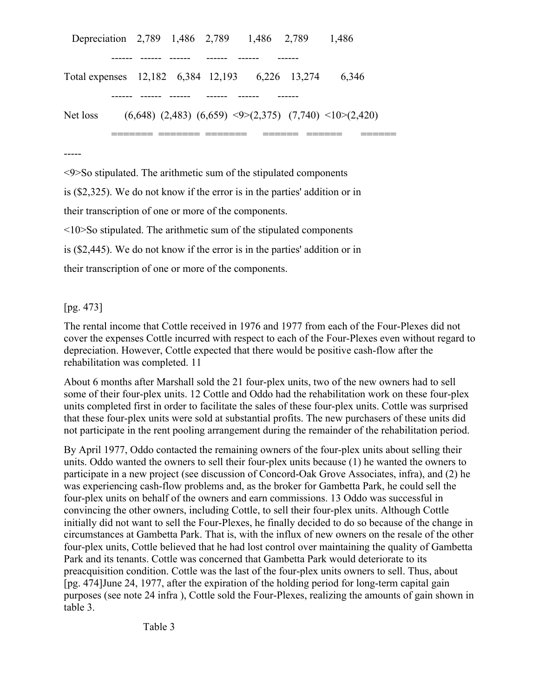| Depreciation 2,789 1,486 2,789 1,486 2,789      |  |  | 1.486                                                                                |
|-------------------------------------------------|--|--|--------------------------------------------------------------------------------------|
|                                                 |  |  |                                                                                      |
| Total expenses 12,182 6,384 12,193 6,226 13,274 |  |  | 6.346                                                                                |
|                                                 |  |  |                                                                                      |
| Net loss                                        |  |  | $(6,648)$ $(2,483)$ $(6,659)$ $\leq 9 \geq (2,375)$ $(7,740)$ $\leq 10 \geq (2,420)$ |
|                                                 |  |  |                                                                                      |

-----

<9>So stipulated. The arithmetic sum of the stipulated components

is (\$2,325). We do not know if the error is in the parties' addition or in

their transcription of one or more of the components.

<10>So stipulated. The arithmetic sum of the stipulated components

is (\$2,445). We do not know if the error is in the parties' addition or in

their transcription of one or more of the components.

## [pg. 473]

The rental income that Cottle received in 1976 and 1977 from each of the Four-Plexes did not cover the expenses Cottle incurred with respect to each of the Four-Plexes even without regard to depreciation. However, Cottle expected that there would be positive cash-flow after the rehabilitation was completed. 11

About 6 months after Marshall sold the 21 four-plex units, two of the new owners had to sell some of their four-plex units. 12 Cottle and Oddo had the rehabilitation work on these four-plex units completed first in order to facilitate the sales of these four-plex units. Cottle was surprised that these four-plex units were sold at substantial profits. The new purchasers of these units did not participate in the rent pooling arrangement during the remainder of the rehabilitation period.

By April 1977, Oddo contacted the remaining owners of the four-plex units about selling their units. Oddo wanted the owners to sell their four-plex units because (1) he wanted the owners to participate in a new project (see discussion of Concord-Oak Grove Associates, infra), and (2) he was experiencing cash-flow problems and, as the broker for Gambetta Park, he could sell the four-plex units on behalf of the owners and earn commissions. 13 Oddo was successful in convincing the other owners, including Cottle, to sell their four-plex units. Although Cottle initially did not want to sell the Four-Plexes, he finally decided to do so because of the change in circumstances at Gambetta Park. That is, with the influx of new owners on the resale of the other four-plex units, Cottle believed that he had lost control over maintaining the quality of Gambetta Park and its tenants. Cottle was concerned that Gambetta Park would deteriorate to its preacquisition condition. Cottle was the last of the four-plex units owners to sell. Thus, about [pg. 474]June 24, 1977, after the expiration of the holding period for long-term capital gain purposes (see note 24 infra ), Cottle sold the Four-Plexes, realizing the amounts of gain shown in table 3.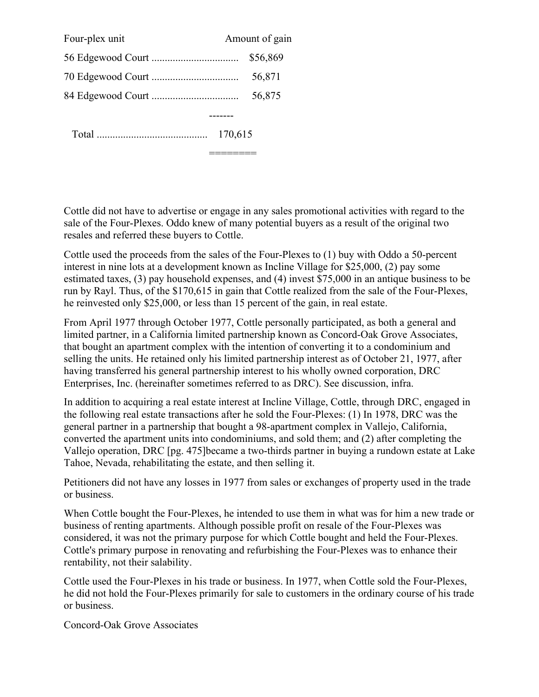| Four-plex unit |         | Amount of gain |
|----------------|---------|----------------|
|                |         | \$56,869       |
|                |         | 56,871         |
|                |         | 56,875         |
|                |         |                |
|                | 170,615 |                |

Cottle did not have to advertise or engage in any sales promotional activities with regard to the sale of the Four-Plexes. Oddo knew of many potential buyers as a result of the original two resales and referred these buyers to Cottle.

 $=$ 

Cottle used the proceeds from the sales of the Four-Plexes to (1) buy with Oddo a 50-percent interest in nine lots at a development known as Incline Village for \$25,000, (2) pay some estimated taxes, (3) pay household expenses, and (4) invest \$75,000 in an antique business to be run by Rayl. Thus, of the \$170,615 in gain that Cottle realized from the sale of the Four-Plexes, he reinvested only \$25,000, or less than 15 percent of the gain, in real estate.

From April 1977 through October 1977, Cottle personally participated, as both a general and limited partner, in a California limited partnership known as Concord-Oak Grove Associates, that bought an apartment complex with the intention of converting it to a condominium and selling the units. He retained only his limited partnership interest as of October 21, 1977, after having transferred his general partnership interest to his wholly owned corporation, DRC Enterprises, Inc. (hereinafter sometimes referred to as DRC). See discussion, infra.

In addition to acquiring a real estate interest at Incline Village, Cottle, through DRC, engaged in the following real estate transactions after he sold the Four-Plexes: (1) In 1978, DRC was the general partner in a partnership that bought a 98-apartment complex in Vallejo, California, converted the apartment units into condominiums, and sold them; and (2) after completing the Vallejo operation, DRC [pg. 475]became a two-thirds partner in buying a rundown estate at Lake Tahoe, Nevada, rehabilitating the estate, and then selling it.

Petitioners did not have any losses in 1977 from sales or exchanges of property used in the trade or business.

When Cottle bought the Four-Plexes, he intended to use them in what was for him a new trade or business of renting apartments. Although possible profit on resale of the Four-Plexes was considered, it was not the primary purpose for which Cottle bought and held the Four-Plexes. Cottle's primary purpose in renovating and refurbishing the Four-Plexes was to enhance their rentability, not their salability.

Cottle used the Four-Plexes in his trade or business. In 1977, when Cottle sold the Four-Plexes, he did not hold the Four-Plexes primarily for sale to customers in the ordinary course of his trade or business.

Concord-Oak Grove Associates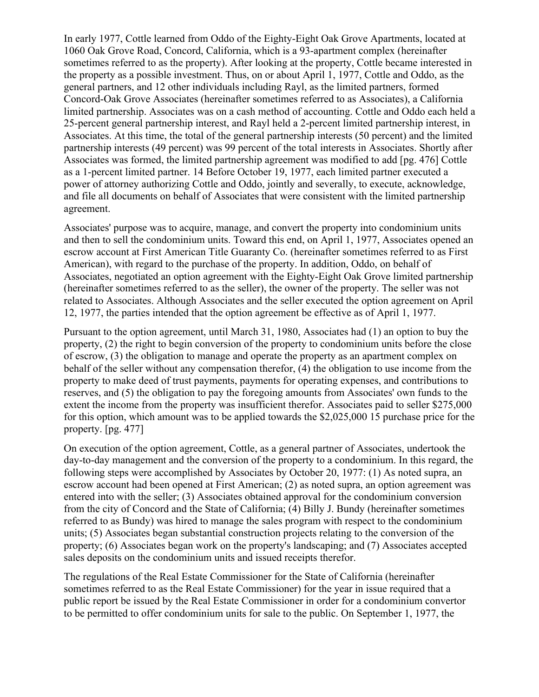In early 1977, Cottle learned from Oddo of the Eighty-Eight Oak Grove Apartments, located at 1060 Oak Grove Road, Concord, California, which is a 93-apartment complex (hereinafter sometimes referred to as the property). After looking at the property, Cottle became interested in the property as a possible investment. Thus, on or about April 1, 1977, Cottle and Oddo, as the general partners, and 12 other individuals including Rayl, as the limited partners, formed Concord-Oak Grove Associates (hereinafter sometimes referred to as Associates), a California limited partnership. Associates was on a cash method of accounting. Cottle and Oddo each held a 25-percent general partnership interest, and Rayl held a 2-percent limited partnership interest, in Associates. At this time, the total of the general partnership interests (50 percent) and the limited partnership interests (49 percent) was 99 percent of the total interests in Associates. Shortly after Associates was formed, the limited partnership agreement was modified to add [pg. 476] Cottle as a 1-percent limited partner. 14 Before October 19, 1977, each limited partner executed a power of attorney authorizing Cottle and Oddo, jointly and severally, to execute, acknowledge, and file all documents on behalf of Associates that were consistent with the limited partnership agreement.

Associates' purpose was to acquire, manage, and convert the property into condominium units and then to sell the condominium units. Toward this end, on April 1, 1977, Associates opened an escrow account at First American Title Guaranty Co. (hereinafter sometimes referred to as First American), with regard to the purchase of the property. In addition, Oddo, on behalf of Associates, negotiated an option agreement with the Eighty-Eight Oak Grove limited partnership (hereinafter sometimes referred to as the seller), the owner of the property. The seller was not related to Associates. Although Associates and the seller executed the option agreement on April 12, 1977, the parties intended that the option agreement be effective as of April 1, 1977.

Pursuant to the option agreement, until March 31, 1980, Associates had (1) an option to buy the property, (2) the right to begin conversion of the property to condominium units before the close of escrow, (3) the obligation to manage and operate the property as an apartment complex on behalf of the seller without any compensation therefor, (4) the obligation to use income from the property to make deed of trust payments, payments for operating expenses, and contributions to reserves, and (5) the obligation to pay the foregoing amounts from Associates' own funds to the extent the income from the property was insufficient therefor. Associates paid to seller \$275,000 for this option, which amount was to be applied towards the \$2,025,000 15 purchase price for the property. [pg. 477]

On execution of the option agreement, Cottle, as a general partner of Associates, undertook the day-to-day management and the conversion of the property to a condominium. In this regard, the following steps were accomplished by Associates by October 20, 1977: (1) As noted supra, an escrow account had been opened at First American; (2) as noted supra, an option agreement was entered into with the seller; (3) Associates obtained approval for the condominium conversion from the city of Concord and the State of California; (4) Billy J. Bundy (hereinafter sometimes referred to as Bundy) was hired to manage the sales program with respect to the condominium units; (5) Associates began substantial construction projects relating to the conversion of the property; (6) Associates began work on the property's landscaping; and (7) Associates accepted sales deposits on the condominium units and issued receipts therefor.

The regulations of the Real Estate Commissioner for the State of California (hereinafter sometimes referred to as the Real Estate Commissioner) for the year in issue required that a public report be issued by the Real Estate Commissioner in order for a condominium convertor to be permitted to offer condominium units for sale to the public. On September 1, 1977, the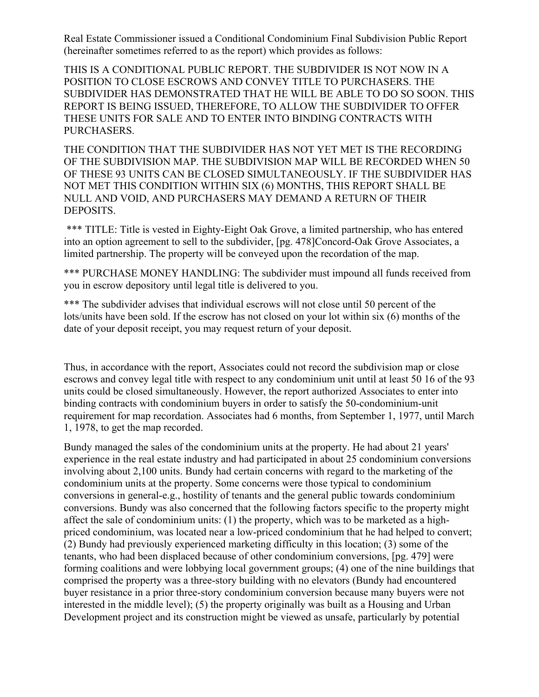Real Estate Commissioner issued a Conditional Condominium Final Subdivision Public Report (hereinafter sometimes referred to as the report) which provides as follows:

THIS IS A CONDITIONAL PUBLIC REPORT. THE SUBDIVIDER IS NOT NOW IN A POSITION TO CLOSE ESCROWS AND CONVEY TITLE TO PURCHASERS. THE SUBDIVIDER HAS DEMONSTRATED THAT HE WILL BE ABLE TO DO SO SOON. THIS REPORT IS BEING ISSUED, THEREFORE, TO ALLOW THE SUBDIVIDER TO OFFER THESE UNITS FOR SALE AND TO ENTER INTO BINDING CONTRACTS WITH PURCHASERS.

THE CONDITION THAT THE SUBDIVIDER HAS NOT YET MET IS THE RECORDING OF THE SUBDIVISION MAP. THE SUBDIVISION MAP WILL BE RECORDED WHEN 50 OF THESE 93 UNITS CAN BE CLOSED SIMULTANEOUSLY. IF THE SUBDIVIDER HAS NOT MET THIS CONDITION WITHIN SIX (6) MONTHS, THIS REPORT SHALL BE NULL AND VOID, AND PURCHASERS MAY DEMAND A RETURN OF THEIR DEPOSITS.

\*\*\* TITLE: Title is vested in Eighty-Eight Oak Grove, a limited partnership, who has entered into an option agreement to sell to the subdivider, [pg. 478]Concord-Oak Grove Associates, a limited partnership. The property will be conveyed upon the recordation of the map.

\*\*\* PURCHASE MONEY HANDLING: The subdivider must impound all funds received from you in escrow depository until legal title is delivered to you.

\*\*\* The subdivider advises that individual escrows will not close until 50 percent of the lots/units have been sold. If the escrow has not closed on your lot within six (6) months of the date of your deposit receipt, you may request return of your deposit.

Thus, in accordance with the report, Associates could not record the subdivision map or close escrows and convey legal title with respect to any condominium unit until at least 50 16 of the 93 units could be closed simultaneously. However, the report authorized Associates to enter into binding contracts with condominium buyers in order to satisfy the 50-condominium-unit requirement for map recordation. Associates had 6 months, from September 1, 1977, until March 1, 1978, to get the map recorded.

Bundy managed the sales of the condominium units at the property. He had about 21 years' experience in the real estate industry and had participated in about 25 condominium conversions involving about 2,100 units. Bundy had certain concerns with regard to the marketing of the condominium units at the property. Some concerns were those typical to condominium conversions in general-e.g., hostility of tenants and the general public towards condominium conversions. Bundy was also concerned that the following factors specific to the property might affect the sale of condominium units: (1) the property, which was to be marketed as a highpriced condominium, was located near a low-priced condominium that he had helped to convert; (2) Bundy had previously experienced marketing difficulty in this location; (3) some of the tenants, who had been displaced because of other condominium conversions, [pg. 479] were forming coalitions and were lobbying local government groups; (4) one of the nine buildings that comprised the property was a three-story building with no elevators (Bundy had encountered buyer resistance in a prior three-story condominium conversion because many buyers were not interested in the middle level); (5) the property originally was built as a Housing and Urban Development project and its construction might be viewed as unsafe, particularly by potential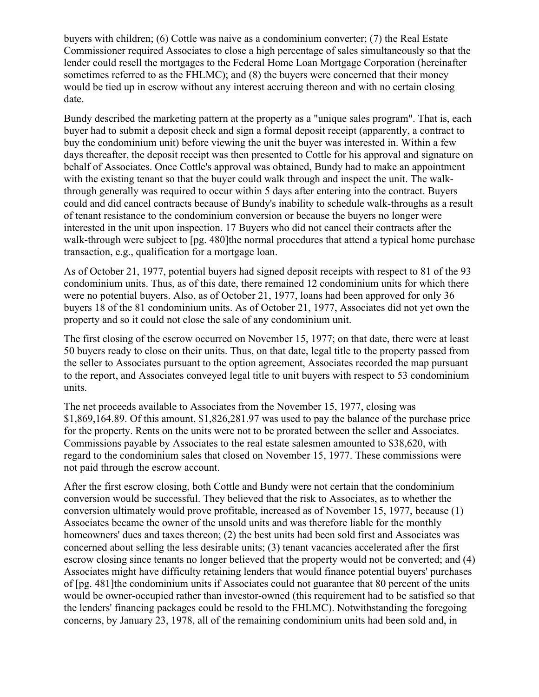buyers with children; (6) Cottle was naive as a condominium converter; (7) the Real Estate Commissioner required Associates to close a high percentage of sales simultaneously so that the lender could resell the mortgages to the Federal Home Loan Mortgage Corporation (hereinafter sometimes referred to as the FHLMC); and (8) the buyers were concerned that their money would be tied up in escrow without any interest accruing thereon and with no certain closing date.

Bundy described the marketing pattern at the property as a "unique sales program". That is, each buyer had to submit a deposit check and sign a formal deposit receipt (apparently, a contract to buy the condominium unit) before viewing the unit the buyer was interested in. Within a few days thereafter, the deposit receipt was then presented to Cottle for his approval and signature on behalf of Associates. Once Cottle's approval was obtained, Bundy had to make an appointment with the existing tenant so that the buyer could walk through and inspect the unit. The walkthrough generally was required to occur within 5 days after entering into the contract. Buyers could and did cancel contracts because of Bundy's inability to schedule walk-throughs as a result of tenant resistance to the condominium conversion or because the buyers no longer were interested in the unit upon inspection. 17 Buyers who did not cancel their contracts after the walk-through were subject to [pg. 480]the normal procedures that attend a typical home purchase transaction, e.g., qualification for a mortgage loan.

As of October 21, 1977, potential buyers had signed deposit receipts with respect to 81 of the 93 condominium units. Thus, as of this date, there remained 12 condominium units for which there were no potential buyers. Also, as of October 21, 1977, loans had been approved for only 36 buyers 18 of the 81 condominium units. As of October 21, 1977, Associates did not yet own the property and so it could not close the sale of any condominium unit.

The first closing of the escrow occurred on November 15, 1977; on that date, there were at least 50 buyers ready to close on their units. Thus, on that date, legal title to the property passed from the seller to Associates pursuant to the option agreement, Associates recorded the map pursuant to the report, and Associates conveyed legal title to unit buyers with respect to 53 condominium units.

The net proceeds available to Associates from the November 15, 1977, closing was \$1,869,164.89. Of this amount, \$1,826,281.97 was used to pay the balance of the purchase price for the property. Rents on the units were not to be prorated between the seller and Associates. Commissions payable by Associates to the real estate salesmen amounted to \$38,620, with regard to the condominium sales that closed on November 15, 1977. These commissions were not paid through the escrow account.

After the first escrow closing, both Cottle and Bundy were not certain that the condominium conversion would be successful. They believed that the risk to Associates, as to whether the conversion ultimately would prove profitable, increased as of November 15, 1977, because (1) Associates became the owner of the unsold units and was therefore liable for the monthly homeowners' dues and taxes thereon; (2) the best units had been sold first and Associates was concerned about selling the less desirable units; (3) tenant vacancies accelerated after the first escrow closing since tenants no longer believed that the property would not be converted; and (4) Associates might have difficulty retaining lenders that would finance potential buyers' purchases of [pg. 481]the condominium units if Associates could not guarantee that 80 percent of the units would be owner-occupied rather than investor-owned (this requirement had to be satisfied so that the lenders' financing packages could be resold to the FHLMC). Notwithstanding the foregoing concerns, by January 23, 1978, all of the remaining condominium units had been sold and, in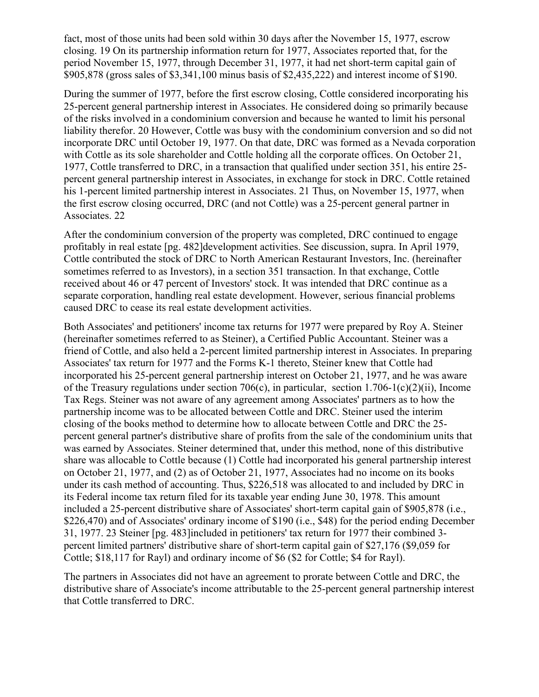fact, most of those units had been sold within 30 days after the November 15, 1977, escrow closing. 19 On its partnership information return for 1977, Associates reported that, for the period November 15, 1977, through December 31, 1977, it had net short-term capital gain of \$905,878 (gross sales of \$3,341,100 minus basis of \$2,435,222) and interest income of \$190.

During the summer of 1977, before the first escrow closing, Cottle considered incorporating his 25-percent general partnership interest in Associates. He considered doing so primarily because of the risks involved in a condominium conversion and because he wanted to limit his personal liability therefor. 20 However, Cottle was busy with the condominium conversion and so did not incorporate DRC until October 19, 1977. On that date, DRC was formed as a Nevada corporation with Cottle as its sole shareholder and Cottle holding all the corporate offices. On October 21, 1977, Cottle transferred to DRC, in a transaction that qualified under section 351, his entire 25 percent general partnership interest in Associates, in exchange for stock in DRC. Cottle retained his 1-percent limited partnership interest in Associates. 21 Thus, on November 15, 1977, when the first escrow closing occurred, DRC (and not Cottle) was a 25-percent general partner in Associates. 22

After the condominium conversion of the property was completed, DRC continued to engage profitably in real estate [pg. 482]development activities. See discussion, supra. In April 1979, Cottle contributed the stock of DRC to North American Restaurant Investors, Inc. (hereinafter sometimes referred to as Investors), in a section 351 transaction. In that exchange, Cottle received about 46 or 47 percent of Investors' stock. It was intended that DRC continue as a separate corporation, handling real estate development. However, serious financial problems caused DRC to cease its real estate development activities.

Both Associates' and petitioners' income tax returns for 1977 were prepared by Roy A. Steiner (hereinafter sometimes referred to as Steiner), a Certified Public Accountant. Steiner was a friend of Cottle, and also held a 2-percent limited partnership interest in Associates. In preparing Associates' tax return for 1977 and the Forms K-1 thereto, Steiner knew that Cottle had incorporated his 25-percent general partnership interest on October 21, 1977, and he was aware of the Treasury regulations under section 706(c), in particular, section 1.706-1(c)(2)(ii), Income Tax Regs. Steiner was not aware of any agreement among Associates' partners as to how the partnership income was to be allocated between Cottle and DRC. Steiner used the interim closing of the books method to determine how to allocate between Cottle and DRC the 25 percent general partner's distributive share of profits from the sale of the condominium units that was earned by Associates. Steiner determined that, under this method, none of this distributive share was allocable to Cottle because (1) Cottle had incorporated his general partnership interest on October 21, 1977, and (2) as of October 21, 1977, Associates had no income on its books under its cash method of accounting. Thus, \$226,518 was allocated to and included by DRC in its Federal income tax return filed for its taxable year ending June 30, 1978. This amount included a 25-percent distributive share of Associates' short-term capital gain of \$905,878 (i.e., \$226,470) and of Associates' ordinary income of \$190 (i.e., \$48) for the period ending December 31, 1977. 23 Steiner [pg. 483]included in petitioners' tax return for 1977 their combined 3 percent limited partners' distributive share of short-term capital gain of \$27,176 (\$9,059 for Cottle; \$18,117 for Rayl) and ordinary income of \$6 (\$2 for Cottle; \$4 for Rayl).

The partners in Associates did not have an agreement to prorate between Cottle and DRC, the distributive share of Associate's income attributable to the 25-percent general partnership interest that Cottle transferred to DRC.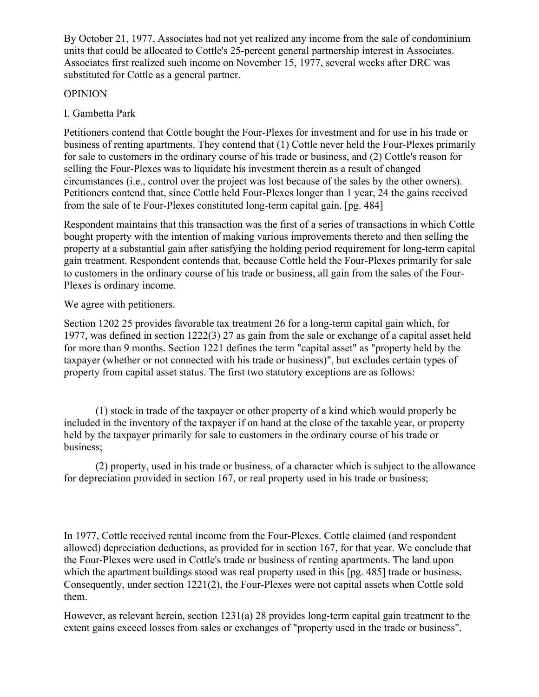By October 21, 1977, Associates had not yet realized any income from the sale of condominium units that could be allocated to Cottle's 25-percent general partnership interest in Associates. Associates first realized such income on November 15, 1977, several weeks after DRC was substituted for Cottle as a general partner.

### **OPINION**

I. Gambetta Park

Petitioners contend that Cottle bought the Four-Plexes for investment and for use in his trade or business of renting apartments. They contend that (1) Cottle never held the Four-Plexes primarily for sale to customers in the ordinary course of his trade or business, and (2) Cottle's reason for selling the Four-Plexes was to liquidate his investment therein as a result of changed circumstances (i.e., control over the project was lost because of the sales by the other owners). Petitioners contend that, since Cottle held Four-Plexes longer than 1 year, 24 the gains received from the sale of te Four-Plexes constituted long-term capital gain. [pg. 484]

Respondent maintains that this transaction was the first of a series of transactions in which Cottle bought property with the intention of making various improvements thereto and then selling the property at a substantial gain after satisfying the holding period requirement for long-term capital gain treatment. Respondent contends that, because Cottle held the Four-Plexes primarily for sale to customers in the ordinary course of his trade or business, all gain from the sales of the Four-Plexes is ordinary income.

We agree with petitioners.

Section 1202 25 provides favorable tax treatment 26 for a long-term capital gain which, for 1977, was defined in section 1222(3) 27 as gain from the sale or exchange of a capital asset held for more than 9 months. Section 1221 defines the term "capital asset" as "property held by the taxpayer (whether or not connected with his trade or business)", but excludes certain types of property from capital asset status. The first two statutory exceptions are as follows:

(1) stock in trade of the taxpayer or other property of a kind which would properly be included in the inventory of the taxpayer if on hand at the close of the taxable year, or property held by the taxpayer primarily for sale to customers in the ordinary course of his trade or business;

(2) property, used in his trade or business, of a character which is subject to the allowance for depreciation provided in section 167, or real property used in his trade or business;

In 1977, Cottle received rental income from the Four-Plexes. Cottle claimed (and respondent allowed) depreciation deductions, as provided for in section 167, for that year. We conclude that the Four-Plexes were used in Cottle's trade or business of renting apartments. The land upon which the apartment buildings stood was real property used in this [pg. 485] trade or business. Consequently, under section 1221(2), the Four-Plexes were not capital assets when Cottle sold them.

However, as relevant herein, section 1231(a) 28 provides long-term capital gain treatment to the extent gains exceed losses from sales or exchanges of "property used in the trade or business".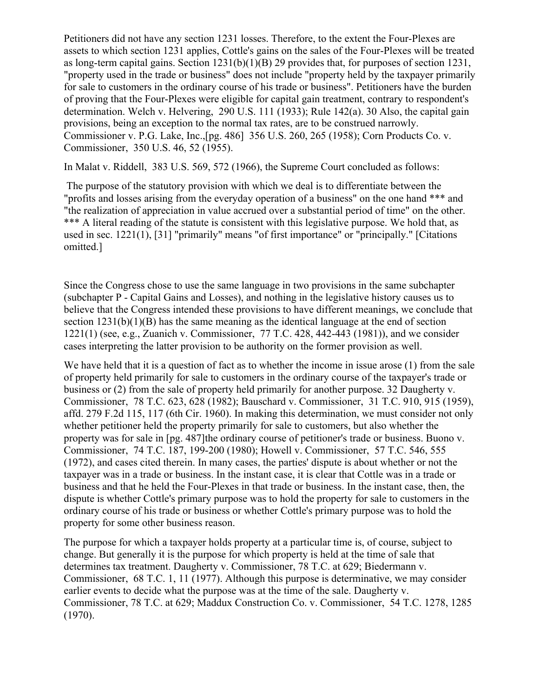Petitioners did not have any section 1231 losses. Therefore, to the extent the Four-Plexes are assets to which section 1231 applies, Cottle's gains on the sales of the Four-Plexes will be treated as long-term capital gains. Section  $1231(b)(1)(B)$  29 provides that, for purposes of section 1231, "property used in the trade or business" does not include "property held by the taxpayer primarily for sale to customers in the ordinary course of his trade or business". Petitioners have the burden of proving that the Four-Plexes were eligible for capital gain treatment, contrary to respondent's determination. Welch v. Helvering, 290 U.S. 111 (1933); Rule 142(a). 30 Also, the capital gain provisions, being an exception to the normal tax rates, are to be construed narrowly. Commissioner v. P.G. Lake, Inc.,[pg. 486] 356 U.S. 260, 265 (1958); Corn Products Co. v. Commissioner, 350 U.S. 46, 52 (1955).

In Malat v. Riddell, 383 U.S. 569, 572 (1966), the Supreme Court concluded as follows:

The purpose of the statutory provision with which we deal is to differentiate between the "profits and losses arising from the everyday operation of a business" on the one hand \*\*\* and "the realization of appreciation in value accrued over a substantial period of time" on the other. \*\*\* A literal reading of the statute is consistent with this legislative purpose. We hold that, as used in sec. 1221(1), [31] "primarily" means "of first importance" or "principally." [Citations omitted.]

Since the Congress chose to use the same language in two provisions in the same subchapter (subchapter P - Capital Gains and Losses), and nothing in the legislative history causes us to believe that the Congress intended these provisions to have different meanings, we conclude that section 1231(b)(1)(B) has the same meaning as the identical language at the end of section 1221(1) (see, e.g., Zuanich v. Commissioner, 77 T.C. 428, 442-443 (1981)), and we consider cases interpreting the latter provision to be authority on the former provision as well.

We have held that it is a question of fact as to whether the income in issue arose (1) from the sale of property held primarily for sale to customers in the ordinary course of the taxpayer's trade or business or (2) from the sale of property held primarily for another purpose. 32 Daugherty v. Commissioner, 78 T.C. 623, 628 (1982); Bauschard v. Commissioner, 31 T.C. 910, 915 (1959), affd. 279 F.2d 115, 117 (6th Cir. 1960). In making this determination, we must consider not only whether petitioner held the property primarily for sale to customers, but also whether the property was for sale in [pg. 487]the ordinary course of petitioner's trade or business. Buono v. Commissioner, 74 T.C. 187, 199-200 (1980); Howell v. Commissioner, 57 T.C. 546, 555 (1972), and cases cited therein. In many cases, the parties' dispute is about whether or not the taxpayer was in a trade or business. In the instant case, it is clear that Cottle was in a trade or business and that he held the Four-Plexes in that trade or business. In the instant case, then, the dispute is whether Cottle's primary purpose was to hold the property for sale to customers in the ordinary course of his trade or business or whether Cottle's primary purpose was to hold the property for some other business reason.

The purpose for which a taxpayer holds property at a particular time is, of course, subject to change. But generally it is the purpose for which property is held at the time of sale that determines tax treatment. Daugherty v. Commissioner, 78 T.C. at 629; Biedermann v. Commissioner, 68 T.C. 1, 11 (1977). Although this purpose is determinative, we may consider earlier events to decide what the purpose was at the time of the sale. Daugherty v. Commissioner, 78 T.C. at 629; Maddux Construction Co. v. Commissioner, 54 T.C. 1278, 1285 (1970).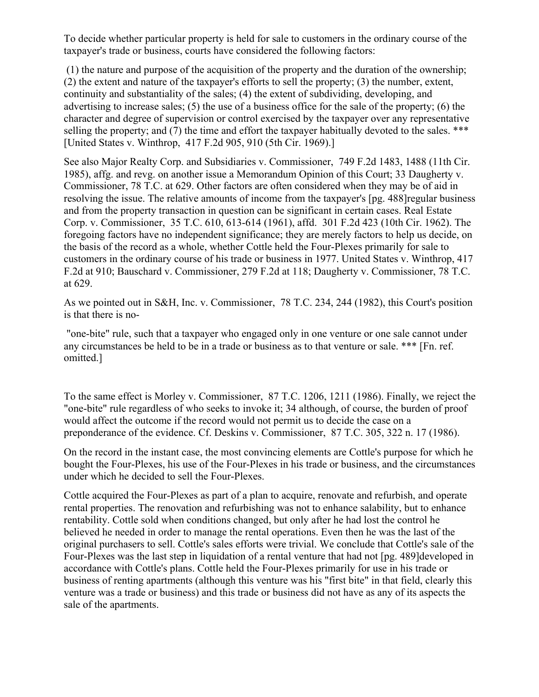To decide whether particular property is held for sale to customers in the ordinary course of the taxpayer's trade or business, courts have considered the following factors:

(1) the nature and purpose of the acquisition of the property and the duration of the ownership; (2) the extent and nature of the taxpayer's efforts to sell the property; (3) the number, extent, continuity and substantiality of the sales; (4) the extent of subdividing, developing, and advertising to increase sales; (5) the use of a business office for the sale of the property; (6) the character and degree of supervision or control exercised by the taxpayer over any representative selling the property; and (7) the time and effort the taxpayer habitually devoted to the sales. \*\*\* [United States v. Winthrop, 417 F.2d 905, 910 (5th Cir. 1969).]

See also Major Realty Corp. and Subsidiaries v. Commissioner, 749 F.2d 1483, 1488 (11th Cir. 1985), affg. and revg. on another issue a Memorandum Opinion of this Court; 33 Daugherty v. Commissioner, 78 T.C. at 629. Other factors are often considered when they may be of aid in resolving the issue. The relative amounts of income from the taxpayer's [pg. 488]regular business and from the property transaction in question can be significant in certain cases. Real Estate Corp. v. Commissioner, 35 T.C. 610, 613-614 (1961), affd. 301 F.2d 423 (10th Cir. 1962). The foregoing factors have no independent significance; they are merely factors to help us decide, on the basis of the record as a whole, whether Cottle held the Four-Plexes primarily for sale to customers in the ordinary course of his trade or business in 1977. United States v. Winthrop, 417 F.2d at 910; Bauschard v. Commissioner, 279 F.2d at 118; Daugherty v. Commissioner, 78 T.C. at 629.

As we pointed out in S&H, Inc. v. Commissioner, 78 T.C. 234, 244 (1982), this Court's position is that there is no-

"one-bite" rule, such that a taxpayer who engaged only in one venture or one sale cannot under any circumstances be held to be in a trade or business as to that venture or sale. \*\*\* [Fn. ref. omitted.]

To the same effect is Morley v. Commissioner, 87 T.C. 1206, 1211 (1986). Finally, we reject the "one-bite" rule regardless of who seeks to invoke it; 34 although, of course, the burden of proof would affect the outcome if the record would not permit us to decide the case on a preponderance of the evidence. Cf. Deskins v. Commissioner, 87 T.C. 305, 322 n. 17 (1986).

On the record in the instant case, the most convincing elements are Cottle's purpose for which he bought the Four-Plexes, his use of the Four-Plexes in his trade or business, and the circumstances under which he decided to sell the Four-Plexes.

Cottle acquired the Four-Plexes as part of a plan to acquire, renovate and refurbish, and operate rental properties. The renovation and refurbishing was not to enhance salability, but to enhance rentability. Cottle sold when conditions changed, but only after he had lost the control he believed he needed in order to manage the rental operations. Even then he was the last of the original purchasers to sell. Cottle's sales efforts were trivial. We conclude that Cottle's sale of the Four-Plexes was the last step in liquidation of a rental venture that had not [pg. 489]developed in accordance with Cottle's plans. Cottle held the Four-Plexes primarily for use in his trade or business of renting apartments (although this venture was his "first bite" in that field, clearly this venture was a trade or business) and this trade or business did not have as any of its aspects the sale of the apartments.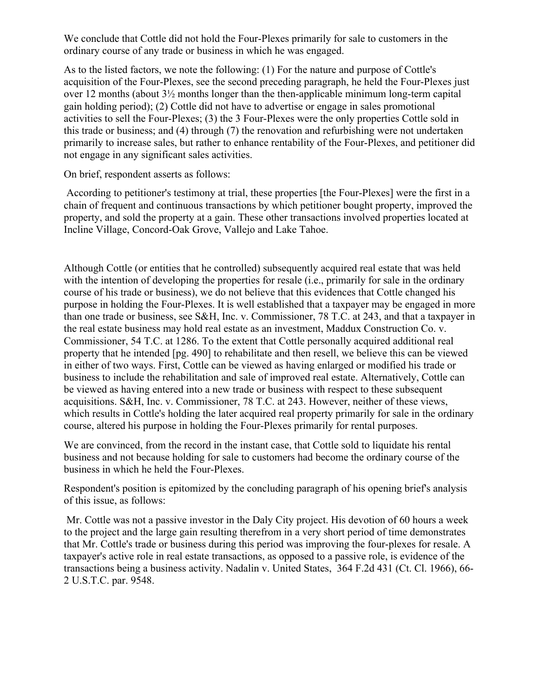We conclude that Cottle did not hold the Four-Plexes primarily for sale to customers in the ordinary course of any trade or business in which he was engaged.

As to the listed factors, we note the following: (1) For the nature and purpose of Cottle's acquisition of the Four-Plexes, see the second preceding paragraph, he held the Four-Plexes just over 12 months (about 3½ months longer than the then-applicable minimum long-term capital gain holding period); (2) Cottle did not have to advertise or engage in sales promotional activities to sell the Four-Plexes; (3) the 3 Four-Plexes were the only properties Cottle sold in this trade or business; and (4) through (7) the renovation and refurbishing were not undertaken primarily to increase sales, but rather to enhance rentability of the Four-Plexes, and petitioner did not engage in any significant sales activities.

On brief, respondent asserts as follows:

According to petitioner's testimony at trial, these properties [the Four-Plexes] were the first in a chain of frequent and continuous transactions by which petitioner bought property, improved the property, and sold the property at a gain. These other transactions involved properties located at Incline Village, Concord-Oak Grove, Vallejo and Lake Tahoe.

Although Cottle (or entities that he controlled) subsequently acquired real estate that was held with the intention of developing the properties for resale (i.e., primarily for sale in the ordinary course of his trade or business), we do not believe that this evidences that Cottle changed his purpose in holding the Four-Plexes. It is well established that a taxpayer may be engaged in more than one trade or business, see S&H, Inc. v. Commissioner, 78 T.C. at 243, and that a taxpayer in the real estate business may hold real estate as an investment, Maddux Construction Co. v. Commissioner, 54 T.C. at 1286. To the extent that Cottle personally acquired additional real property that he intended [pg. 490] to rehabilitate and then resell, we believe this can be viewed in either of two ways. First, Cottle can be viewed as having enlarged or modified his trade or business to include the rehabilitation and sale of improved real estate. Alternatively, Cottle can be viewed as having entered into a new trade or business with respect to these subsequent acquisitions. S&H, Inc. v. Commissioner, 78 T.C. at 243. However, neither of these views, which results in Cottle's holding the later acquired real property primarily for sale in the ordinary course, altered his purpose in holding the Four-Plexes primarily for rental purposes.

We are convinced, from the record in the instant case, that Cottle sold to liquidate his rental business and not because holding for sale to customers had become the ordinary course of the business in which he held the Four-Plexes.

Respondent's position is epitomized by the concluding paragraph of his opening brief's analysis of this issue, as follows:

Mr. Cottle was not a passive investor in the Daly City project. His devotion of 60 hours a week to the project and the large gain resulting therefrom in a very short period of time demonstrates that Mr. Cottle's trade or business during this period was improving the four-plexes for resale. A taxpayer's active role in real estate transactions, as opposed to a passive role, is evidence of the transactions being a business activity. Nadalin v. United States, 364 F.2d 431 (Ct. Cl. 1966), 66- 2 U.S.T.C. par. 9548.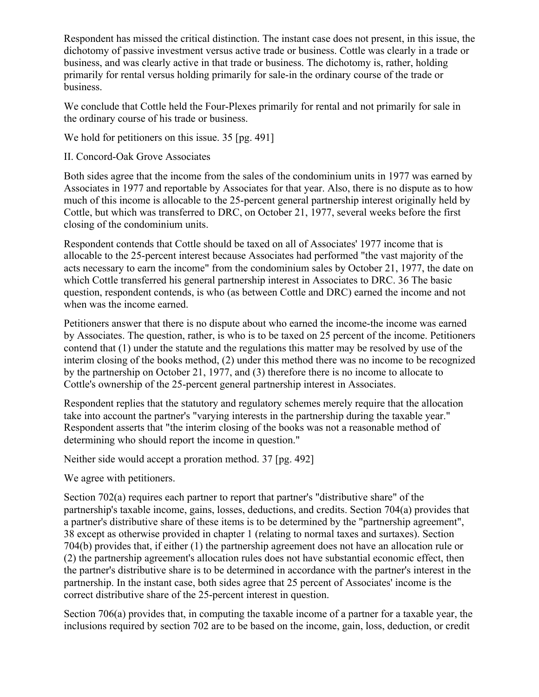Respondent has missed the critical distinction. The instant case does not present, in this issue, the dichotomy of passive investment versus active trade or business. Cottle was clearly in a trade or business, and was clearly active in that trade or business. The dichotomy is, rather, holding primarily for rental versus holding primarily for sale-in the ordinary course of the trade or business.

We conclude that Cottle held the Four-Plexes primarily for rental and not primarily for sale in the ordinary course of his trade or business.

We hold for petitioners on this issue. 35 [pg. 491]

II. Concord-Oak Grove Associates

Both sides agree that the income from the sales of the condominium units in 1977 was earned by Associates in 1977 and reportable by Associates for that year. Also, there is no dispute as to how much of this income is allocable to the 25-percent general partnership interest originally held by Cottle, but which was transferred to DRC, on October 21, 1977, several weeks before the first closing of the condominium units.

Respondent contends that Cottle should be taxed on all of Associates' 1977 income that is allocable to the 25-percent interest because Associates had performed "the vast majority of the acts necessary to earn the income" from the condominium sales by October 21, 1977, the date on which Cottle transferred his general partnership interest in Associates to DRC. 36 The basic question, respondent contends, is who (as between Cottle and DRC) earned the income and not when was the income earned.

Petitioners answer that there is no dispute about who earned the income-the income was earned by Associates. The question, rather, is who is to be taxed on 25 percent of the income. Petitioners contend that (1) under the statute and the regulations this matter may be resolved by use of the interim closing of the books method, (2) under this method there was no income to be recognized by the partnership on October 21, 1977, and (3) therefore there is no income to allocate to Cottle's ownership of the 25-percent general partnership interest in Associates.

Respondent replies that the statutory and regulatory schemes merely require that the allocation take into account the partner's "varying interests in the partnership during the taxable year." Respondent asserts that "the interim closing of the books was not a reasonable method of determining who should report the income in question."

Neither side would accept a proration method. 37 [pg. 492]

We agree with petitioners.

Section 702(a) requires each partner to report that partner's "distributive share" of the partnership's taxable income, gains, losses, deductions, and credits. Section 704(a) provides that a partner's distributive share of these items is to be determined by the "partnership agreement", 38 except as otherwise provided in chapter 1 (relating to normal taxes and surtaxes). Section 704(b) provides that, if either (1) the partnership agreement does not have an allocation rule or (2) the partnership agreement's allocation rules does not have substantial economic effect, then the partner's distributive share is to be determined in accordance with the partner's interest in the partnership. In the instant case, both sides agree that 25 percent of Associates' income is the correct distributive share of the 25-percent interest in question.

Section 706(a) provides that, in computing the taxable income of a partner for a taxable year, the inclusions required by section 702 are to be based on the income, gain, loss, deduction, or credit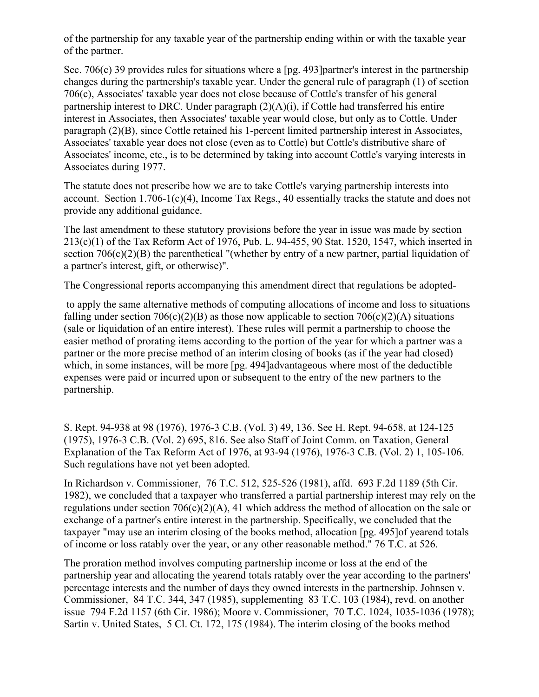of the partnership for any taxable year of the partnership ending within or with the taxable year of the partner.

Sec. 706(c) 39 provides rules for situations where a [pg. 493] partner's interest in the partnership changes during the partnership's taxable year. Under the general rule of paragraph (1) of section 706(c), Associates' taxable year does not close because of Cottle's transfer of his general partnership interest to DRC. Under paragraph  $(2)(A)(i)$ , if Cottle had transferred his entire interest in Associates, then Associates' taxable year would close, but only as to Cottle. Under paragraph (2)(B), since Cottle retained his 1-percent limited partnership interest in Associates, Associates' taxable year does not close (even as to Cottle) but Cottle's distributive share of Associates' income, etc., is to be determined by taking into account Cottle's varying interests in Associates during 1977.

The statute does not prescribe how we are to take Cottle's varying partnership interests into account. Section 1.706-1(c)(4), Income Tax Regs., 40 essentially tracks the statute and does not provide any additional guidance.

The last amendment to these statutory provisions before the year in issue was made by section 213(c)(1) of the Tax Reform Act of 1976, Pub. L. 94-455, 90 Stat. 1520, 1547, which inserted in section  $706(c)(2)(B)$  the parenthetical "(whether by entry of a new partner, partial liquidation of a partner's interest, gift, or otherwise)".

The Congressional reports accompanying this amendment direct that regulations be adopted-

to apply the same alternative methods of computing allocations of income and loss to situations falling under section  $706(c)(2)(B)$  as those now applicable to section  $706(c)(2)(A)$  situations (sale or liquidation of an entire interest). These rules will permit a partnership to choose the easier method of prorating items according to the portion of the year for which a partner was a partner or the more precise method of an interim closing of books (as if the year had closed) which, in some instances, will be more [pg. 494]advantageous where most of the deductible expenses were paid or incurred upon or subsequent to the entry of the new partners to the partnership.

S. Rept. 94-938 at 98 (1976), 1976-3 C.B. (Vol. 3) 49, 136. See H. Rept. 94-658, at 124-125 (1975), 1976-3 C.B. (Vol. 2) 695, 816. See also Staff of Joint Comm. on Taxation, General Explanation of the Tax Reform Act of 1976, at 93-94 (1976), 1976-3 C.B. (Vol. 2) 1, 105-106. Such regulations have not yet been adopted.

In Richardson v. Commissioner, 76 T.C. 512, 525-526 (1981), affd. 693 F.2d 1189 (5th Cir. 1982), we concluded that a taxpayer who transferred a partial partnership interest may rely on the regulations under section  $706(c)(2)(A)$ , 41 which address the method of allocation on the sale or exchange of a partner's entire interest in the partnership. Specifically, we concluded that the taxpayer "may use an interim closing of the books method, allocation [pg. 495]of yearend totals of income or loss ratably over the year, or any other reasonable method." 76 T.C. at 526.

The proration method involves computing partnership income or loss at the end of the partnership year and allocating the yearend totals ratably over the year according to the partners' percentage interests and the number of days they owned interests in the partnership. Johnsen v. Commissioner, 84 T.C. 344, 347 (1985), supplementing 83 T.C. 103 (1984), revd. on another issue 794 F.2d 1157 (6th Cir. 1986); Moore v. Commissioner, 70 T.C. 1024, 1035-1036 (1978); Sartin v. United States, 5 Cl. Ct. 172, 175 (1984). The interim closing of the books method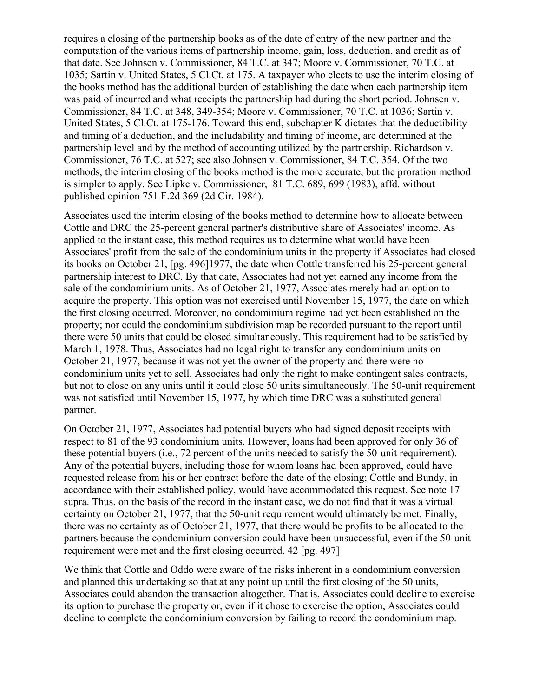requires a closing of the partnership books as of the date of entry of the new partner and the computation of the various items of partnership income, gain, loss, deduction, and credit as of that date. See Johnsen v. Commissioner, 84 T.C. at 347; Moore v. Commissioner, 70 T.C. at 1035; Sartin v. United States, 5 Cl.Ct. at 175. A taxpayer who elects to use the interim closing of the books method has the additional burden of establishing the date when each partnership item was paid of incurred and what receipts the partnership had during the short period. Johnsen v. Commissioner, 84 T.C. at 348, 349-354; Moore v. Commissioner, 70 T.C. at 1036; Sartin v. United States, 5 Cl.Ct. at 175-176. Toward this end, subchapter K dictates that the deductibility and timing of a deduction, and the includability and timing of income, are determined at the partnership level and by the method of accounting utilized by the partnership. Richardson v. Commissioner, 76 T.C. at 527; see also Johnsen v. Commissioner, 84 T.C. 354. Of the two methods, the interim closing of the books method is the more accurate, but the proration method is simpler to apply. See Lipke v. Commissioner, 81 T.C. 689, 699 (1983), affd. without published opinion 751 F.2d 369 (2d Cir. 1984).

Associates used the interim closing of the books method to determine how to allocate between Cottle and DRC the 25-percent general partner's distributive share of Associates' income. As applied to the instant case, this method requires us to determine what would have been Associates' profit from the sale of the condominium units in the property if Associates had closed its books on October 21, [pg. 496]1977, the date when Cottle transferred his 25-percent general partnership interest to DRC. By that date, Associates had not yet earned any income from the sale of the condominium units. As of October 21, 1977, Associates merely had an option to acquire the property. This option was not exercised until November 15, 1977, the date on which the first closing occurred. Moreover, no condominium regime had yet been established on the property; nor could the condominium subdivision map be recorded pursuant to the report until there were 50 units that could be closed simultaneously. This requirement had to be satisfied by March 1, 1978. Thus, Associates had no legal right to transfer any condominium units on October 21, 1977, because it was not yet the owner of the property and there were no condominium units yet to sell. Associates had only the right to make contingent sales contracts, but not to close on any units until it could close 50 units simultaneously. The 50-unit requirement was not satisfied until November 15, 1977, by which time DRC was a substituted general partner.

On October 21, 1977, Associates had potential buyers who had signed deposit receipts with respect to 81 of the 93 condominium units. However, loans had been approved for only 36 of these potential buyers (i.e., 72 percent of the units needed to satisfy the 50-unit requirement). Any of the potential buyers, including those for whom loans had been approved, could have requested release from his or her contract before the date of the closing; Cottle and Bundy, in accordance with their established policy, would have accommodated this request. See note 17 supra. Thus, on the basis of the record in the instant case, we do not find that it was a virtual certainty on October 21, 1977, that the 50-unit requirement would ultimately be met. Finally, there was no certainty as of October 21, 1977, that there would be profits to be allocated to the partners because the condominium conversion could have been unsuccessful, even if the 50-unit requirement were met and the first closing occurred. 42 [pg. 497]

We think that Cottle and Oddo were aware of the risks inherent in a condominium conversion and planned this undertaking so that at any point up until the first closing of the 50 units, Associates could abandon the transaction altogether. That is, Associates could decline to exercise its option to purchase the property or, even if it chose to exercise the option, Associates could decline to complete the condominium conversion by failing to record the condominium map.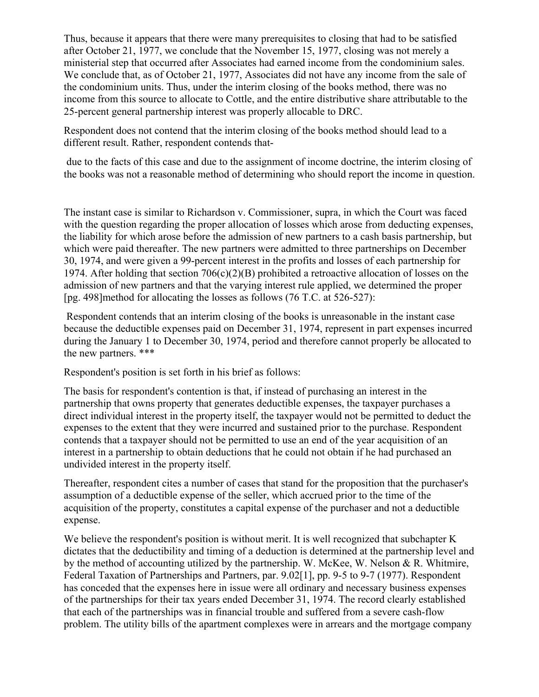Thus, because it appears that there were many prerequisites to closing that had to be satisfied after October 21, 1977, we conclude that the November 15, 1977, closing was not merely a ministerial step that occurred after Associates had earned income from the condominium sales. We conclude that, as of October 21, 1977, Associates did not have any income from the sale of the condominium units. Thus, under the interim closing of the books method, there was no income from this source to allocate to Cottle, and the entire distributive share attributable to the 25-percent general partnership interest was properly allocable to DRC.

Respondent does not contend that the interim closing of the books method should lead to a different result. Rather, respondent contends that-

due to the facts of this case and due to the assignment of income doctrine, the interim closing of the books was not a reasonable method of determining who should report the income in question.

The instant case is similar to Richardson v. Commissioner, supra, in which the Court was faced with the question regarding the proper allocation of losses which arose from deducting expenses, the liability for which arose before the admission of new partners to a cash basis partnership, but which were paid thereafter. The new partners were admitted to three partnerships on December 30, 1974, and were given a 99-percent interest in the profits and losses of each partnership for 1974. After holding that section 706(c)(2)(B) prohibited a retroactive allocation of losses on the admission of new partners and that the varying interest rule applied, we determined the proper [pg. 498]method for allocating the losses as follows  $(76 \text{ T.C. at } 526-527)$ :

Respondent contends that an interim closing of the books is unreasonable in the instant case because the deductible expenses paid on December 31, 1974, represent in part expenses incurred during the January 1 to December 30, 1974, period and therefore cannot properly be allocated to the new partners. \*\*\*

Respondent's position is set forth in his brief as follows:

The basis for respondent's contention is that, if instead of purchasing an interest in the partnership that owns property that generates deductible expenses, the taxpayer purchases a direct individual interest in the property itself, the taxpayer would not be permitted to deduct the expenses to the extent that they were incurred and sustained prior to the purchase. Respondent contends that a taxpayer should not be permitted to use an end of the year acquisition of an interest in a partnership to obtain deductions that he could not obtain if he had purchased an undivided interest in the property itself.

Thereafter, respondent cites a number of cases that stand for the proposition that the purchaser's assumption of a deductible expense of the seller, which accrued prior to the time of the acquisition of the property, constitutes a capital expense of the purchaser and not a deductible expense.

We believe the respondent's position is without merit. It is well recognized that subchapter K dictates that the deductibility and timing of a deduction is determined at the partnership level and by the method of accounting utilized by the partnership. W. McKee, W. Nelson & R. Whitmire, Federal Taxation of Partnerships and Partners, par. 9.02[1], pp. 9-5 to 9-7 (1977). Respondent has conceded that the expenses here in issue were all ordinary and necessary business expenses of the partnerships for their tax years ended December 31, 1974. The record clearly established that each of the partnerships was in financial trouble and suffered from a severe cash-flow problem. The utility bills of the apartment complexes were in arrears and the mortgage company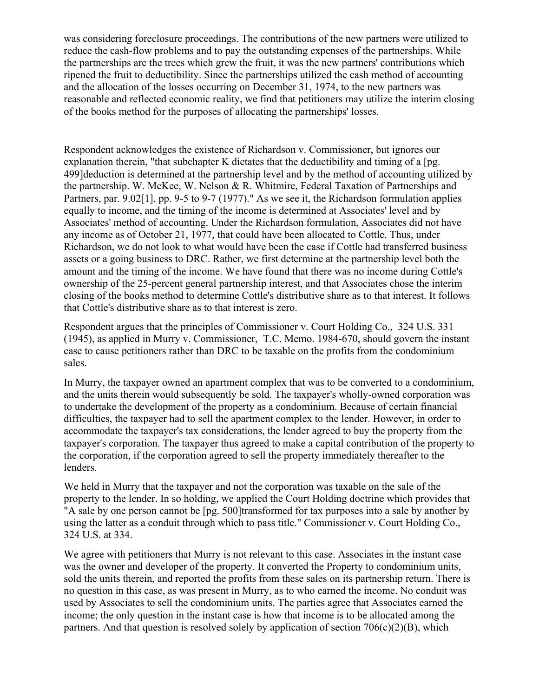was considering foreclosure proceedings. The contributions of the new partners were utilized to reduce the cash-flow problems and to pay the outstanding expenses of the partnerships. While the partnerships are the trees which grew the fruit, it was the new partners' contributions which ripened the fruit to deductibility. Since the partnerships utilized the cash method of accounting and the allocation of the losses occurring on December 31, 1974, to the new partners was reasonable and reflected economic reality, we find that petitioners may utilize the interim closing of the books method for the purposes of allocating the partnerships' losses.

Respondent acknowledges the existence of Richardson v. Commissioner, but ignores our explanation therein, "that subchapter K dictates that the deductibility and timing of a [pg. 499]deduction is determined at the partnership level and by the method of accounting utilized by the partnership. W. McKee, W. Nelson & R. Whitmire, Federal Taxation of Partnerships and Partners, par. 9.02[1], pp. 9-5 to 9-7 (1977)." As we see it, the Richardson formulation applies equally to income, and the timing of the income is determined at Associates' level and by Associates' method of accounting. Under the Richardson formulation, Associates did not have any income as of October 21, 1977, that could have been allocated to Cottle. Thus, under Richardson, we do not look to what would have been the case if Cottle had transferred business assets or a going business to DRC. Rather, we first determine at the partnership level both the amount and the timing of the income. We have found that there was no income during Cottle's ownership of the 25-percent general partnership interest, and that Associates chose the interim closing of the books method to determine Cottle's distributive share as to that interest. It follows that Cottle's distributive share as to that interest is zero.

Respondent argues that the principles of Commissioner v. Court Holding Co., 324 U.S. 331 (1945), as applied in Murry v. Commissioner, T.C. Memo. 1984-670, should govern the instant case to cause petitioners rather than DRC to be taxable on the profits from the condominium sales.

In Murry, the taxpayer owned an apartment complex that was to be converted to a condominium, and the units therein would subsequently be sold. The taxpay or subsequently-owned corporation was to undertake the development of the property as a condominium. Because of certain financial difficulties, the taxpayer had to sell the apartment complex to the lender. However, in order to accommodate the taxpayer's tax considerations, the lender agreed to buy the property from the taxpayer's corporation. The taxpayer thus agreed to make a capital contribution of the property to the corporation, if the corporation agreed to sell the property immediately thereafter to the lenders.

We held in Murry that the taxpayer and not the corporation was taxable on the sale of the property to the lender. In so holding, we applied the Court Holding doctrine which provides that "A sale by one person cannot be [pg. 500]transformed for tax purposes into a sale by another by using the latter as a conduit through which to pass title." Commissioner v. Court Holding Co., 324 U.S. at 334.

We agree with petitioners that Murry is not relevant to this case. Associates in the instant case was the owner and developer of the property. It converted the Property to condominium units, sold the units therein, and reported the profits from these sales on its partnership return. There is no question in this case, as was present in Murry, as to who earned the income. No conduit was used by Associates to sell the condominium units. The parties agree that Associates earned the income; the only question in the instant case is how that income is to be allocated among the partners. And that question is resolved solely by application of section  $706(c)(2)(B)$ , which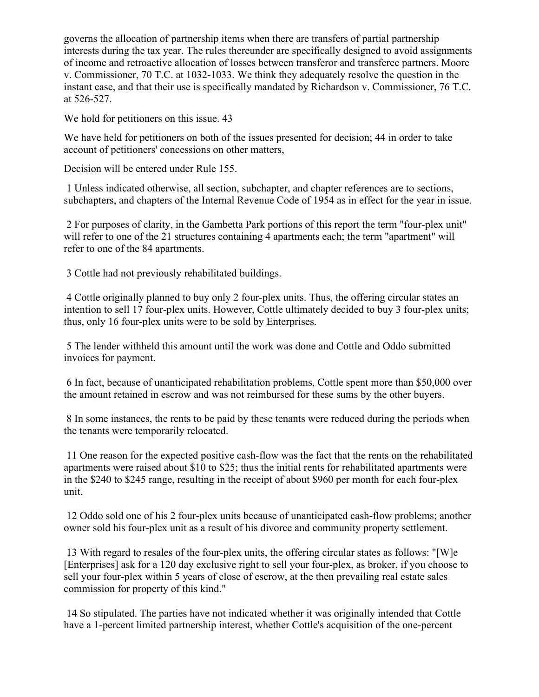governs the allocation of partnership items when there are transfers of partial partnership interests during the tax year. The rules thereunder are specifically designed to avoid assignments of income and retroactive allocation of losses between transferor and transferee partners. Moore v. Commissioner, 70 T.C. at 1032-1033. We think they adequately resolve the question in the instant case, and that their use is specifically mandated by Richardson v. Commissioner, 76 T.C. at 526-527.

We hold for petitioners on this issue. 43

We have held for petitioners on both of the issues presented for decision; 44 in order to take account of petitioners' concessions on other matters,

Decision will be entered under Rule 155.

1 Unless indicated otherwise, all section, subchapter, and chapter references are to sections, subchapters, and chapters of the Internal Revenue Code of 1954 as in effect for the year in issue.

2 For purposes of clarity, in the Gambetta Park portions of this report the term "four-plex unit" will refer to one of the 21 structures containing 4 apartments each; the term "apartment" will refer to one of the 84 apartments.

3 Cottle had not previously rehabilitated buildings.

4 Cottle originally planned to buy only 2 four-plex units. Thus, the offering circular states an intention to sell 17 four-plex units. However, Cottle ultimately decided to buy 3 four-plex units; thus, only 16 four-plex units were to be sold by Enterprises.

5 The lender withheld this amount until the work was done and Cottle and Oddo submitted invoices for payment.

6 In fact, because of unanticipated rehabilitation problems, Cottle spent more than \$50,000 over the amount retained in escrow and was not reimbursed for these sums by the other buyers.

8 In some instances, the rents to be paid by these tenants were reduced during the periods when the tenants were temporarily relocated.

11 One reason for the expected positive cash-flow was the fact that the rents on the rehabilitated apartments were raised about \$10 to \$25; thus the initial rents for rehabilitated apartments were in the \$240 to \$245 range, resulting in the receipt of about \$960 per month for each four-plex unit.

12 Oddo sold one of his 2 four-plex units because of unanticipated cash-flow problems; another owner sold his four-plex unit as a result of his divorce and community property settlement.

13 With regard to resales of the four-plex units, the offering circular states as follows: "[W]e [Enterprises] ask for a 120 day exclusive right to sell your four-plex, as broker, if you choose to sell your four-plex within 5 years of close of escrow, at the then prevailing real estate sales commission for property of this kind."

14 So stipulated. The parties have not indicated whether it was originally intended that Cottle have a 1-percent limited partnership interest, whether Cottle's acquisition of the one-percent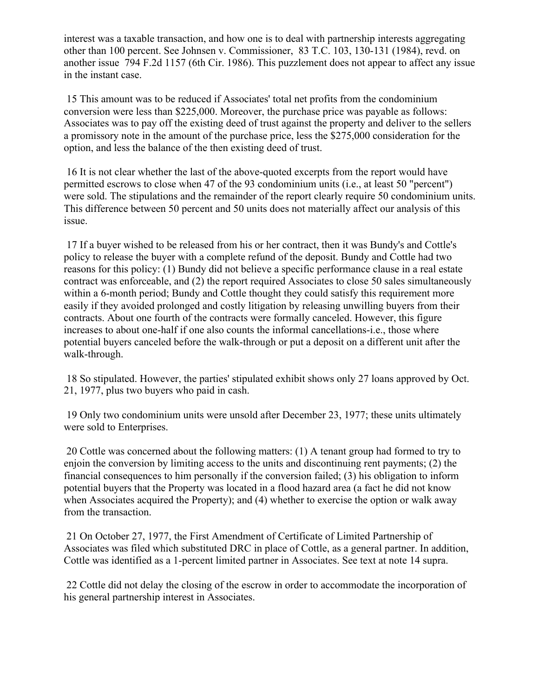interest was a taxable transaction, and how one is to deal with partnership interests aggregating other than 100 percent. See Johnsen v. Commissioner, 83 T.C. 103, 130-131 (1984), revd. on another issue 794 F.2d 1157 (6th Cir. 1986). This puzzlement does not appear to affect any issue in the instant case.

15 This amount was to be reduced if Associates' total net profits from the condominium conversion were less than \$225,000. Moreover, the purchase price was payable as follows: Associates was to pay off the existing deed of trust against the property and deliver to the sellers a promissory note in the amount of the purchase price, less the \$275,000 consideration for the option, and less the balance of the then existing deed of trust.

16 It is not clear whether the last of the above-quoted excerpts from the report would have permitted escrows to close when 47 of the 93 condominium units (i.e., at least 50 "percent") were sold. The stipulations and the remainder of the report clearly require 50 condominium units. This difference between 50 percent and 50 units does not materially affect our analysis of this issue.

17 If a buyer wished to be released from his or her contract, then it was Bundy's and Cottle's policy to release the buyer with a complete refund of the deposit. Bundy and Cottle had two reasons for this policy: (1) Bundy did not believe a specific performance clause in a real estate contract was enforceable, and (2) the report required Associates to close 50 sales simultaneously within a 6-month period; Bundy and Cottle thought they could satisfy this requirement more easily if they avoided prolonged and costly litigation by releasing unwilling buyers from their contracts. About one fourth of the contracts were formally canceled. However, this figure increases to about one-half if one also counts the informal cancellations-i.e., those where potential buyers canceled before the walk-through or put a deposit on a different unit after the walk-through.

18 So stipulated. However, the parties' stipulated exhibit shows only 27 loans approved by Oct. 21, 1977, plus two buyers who paid in cash.

19 Only two condominium units were unsold after December 23, 1977; these units ultimately were sold to Enterprises.

20 Cottle was concerned about the following matters: (1) A tenant group had formed to try to enjoin the conversion by limiting access to the units and discontinuing rent payments; (2) the financial consequences to him personally if the conversion failed; (3) his obligation to inform potential buyers that the Property was located in a flood hazard area (a fact he did not know when Associates acquired the Property); and (4) whether to exercise the option or walk away from the transaction.

21 On October 27, 1977, the First Amendment of Certificate of Limited Partnership of Associates was filed which substituted DRC in place of Cottle, as a general partner. In addition, Cottle was identified as a 1-percent limited partner in Associates. See text at note 14 supra.

22 Cottle did not delay the closing of the escrow in order to accommodate the incorporation of his general partnership interest in Associates.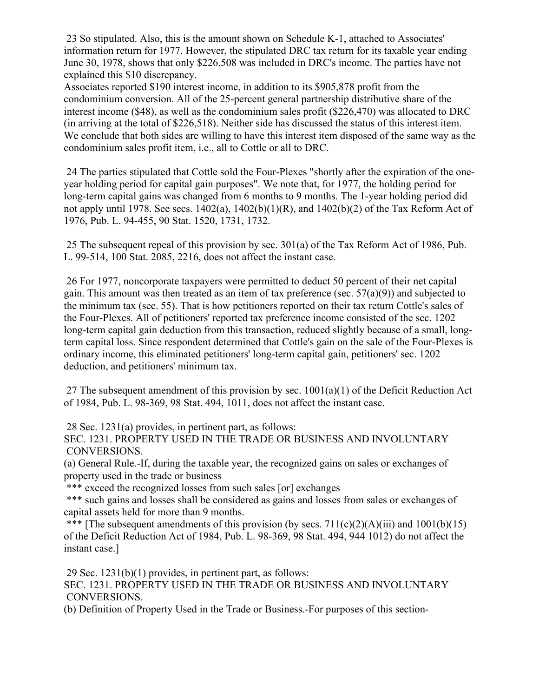23 So stipulated. Also, this is the amount shown on Schedule K-1, attached to Associates' information return for 1977. However, the stipulated DRC tax return for its taxable year ending June 30, 1978, shows that only \$226,508 was included in DRC's income. The parties have not explained this \$10 discrepancy.

Associates reported \$190 interest income, in addition to its \$905,878 profit from the condominium conversion. All of the 25-percent general partnership distributive share of the interest income (\$48), as well as the condominium sales profit (\$226,470) was allocated to DRC (in arriving at the total of \$226,518). Neither side has discussed the status of this interest item. We conclude that both sides are willing to have this interest item disposed of the same way as the condominium sales profit item, i.e., all to Cottle or all to DRC.

24 The parties stipulated that Cottle sold the Four-Plexes "shortly after the expiration of the oneyear holding period for capital gain purposes". We note that, for 1977, the holding period for long-term capital gains was changed from 6 months to 9 months. The 1-year holding period did not apply until 1978. See secs.  $1402(a)$ ,  $1402(b)(1)(R)$ , and  $1402(b)(2)$  of the Tax Reform Act of 1976, Pub. L. 94-455, 90 Stat. 1520, 1731, 1732.

25 The subsequent repeal of this provision by sec. 301(a) of the Tax Reform Act of 1986, Pub. L. 99-514, 100 Stat. 2085, 2216, does not affect the instant case.

26 For 1977, noncorporate taxpayers were permitted to deduct 50 percent of their net capital gain. This amount was then treated as an item of tax preference (sec.  $57(a)(9)$ ) and subjected to the minimum tax (sec. 55). That is how petitioners reported on their tax return Cottle's sales of the Four-Plexes. All of petitioners' reported tax preference income consisted of the sec. 1202 long-term capital gain deduction from this transaction, reduced slightly because of a small, longterm capital loss. Since respondent determined that Cottle's gain on the sale of the Four-Plexes is ordinary income, this eliminated petitioners' long-term capital gain, petitioners' sec. 1202 deduction, and petitioners' minimum tax.

27 The subsequent amendment of this provision by sec.  $1001(a)(1)$  of the Deficit Reduction Act of 1984, Pub. L. 98-369, 98 Stat. 494, 1011, does not affect the instant case.

28 Sec. 1231(a) provides, in pertinent part, as follows:

SEC. 1231. PROPERTY USED IN THE TRADE OR BUSINESS AND INVOLUNTARY CONVERSIONS.

(a) General Rule.-If, during the taxable year, the recognized gains on sales or exchanges of property used in the trade or business

\*\*\* exceed the recognized losses from such sales [or] exchanges

\*\*\* such gains and losses shall be considered as gains and losses from sales or exchanges of capital assets held for more than 9 months.

\*\*\* [The subsequent amendments of this provision (by secs.  $711(c)(2)(A)(iii)$  and  $1001(b)(15)$ of the Deficit Reduction Act of 1984, Pub. L. 98-369, 98 Stat. 494, 944 1012) do not affect the instant case.]

29 Sec. 1231(b)(1) provides, in pertinent part, as follows:

SEC. 1231. PROPERTY USED IN THE TRADE OR BUSINESS AND INVOLUNTARY CONVERSIONS.

(b) Definition of Property Used in the Trade or Business.-For purposes of this section-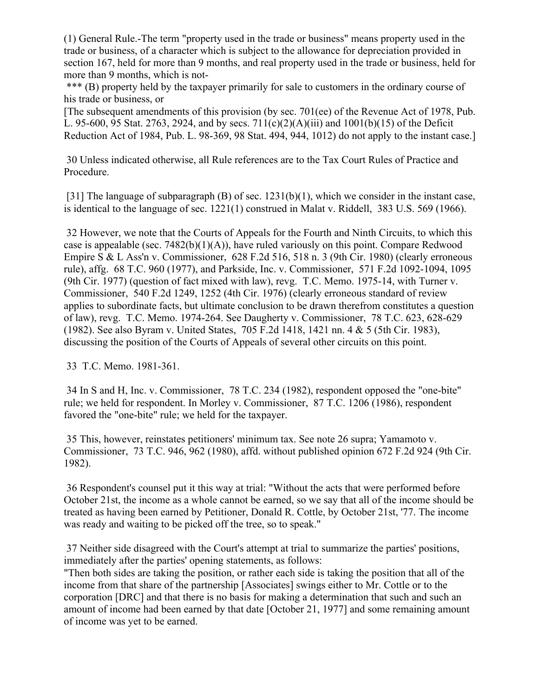(1) General Rule.-The term "property used in the trade or business" means property used in the trade or business, of a character which is subject to the allowance for depreciation provided in section 167, held for more than 9 months, and real property used in the trade or business, held for more than 9 months, which is not-

\*\*\* (B) property held by the taxpayer primarily for sale to customers in the ordinary course of his trade or business, or

[The subsequent amendments of this provision (by sec. 701(ee) of the Revenue Act of 1978, Pub. L. 95-600, 95 Stat. 2763, 2924, and by secs. 711(c)(2)(A)(iii) and 1001(b)(15) of the Deficit Reduction Act of 1984, Pub. L. 98-369, 98 Stat. 494, 944, 1012) do not apply to the instant case.]

30 Unless indicated otherwise, all Rule references are to the Tax Court Rules of Practice and Procedure.

[31] The language of subparagraph (B) of sec.  $1231(b)(1)$ , which we consider in the instant case, is identical to the language of sec. 1221(1) construed in Malat v. Riddell, 383 U.S. 569 (1966).

32 However, we note that the Courts of Appeals for the Fourth and Ninth Circuits, to which this case is appealable (sec.  $7482(b)(1)(A)$ ), have ruled variously on this point. Compare Redwood Empire S & L Ass'n v. Commissioner, 628 F.2d 516, 518 n. 3 (9th Cir. 1980) (clearly erroneous rule), affg. 68 T.C. 960 (1977), and Parkside, Inc. v. Commissioner, 571 F.2d 1092-1094, 1095 (9th Cir. 1977) (question of fact mixed with law), revg. T.C. Memo. 1975-14, with Turner v. Commissioner, 540 F.2d 1249, 1252 (4th Cir. 1976) (clearly erroneous standard of review applies to subordinate facts, but ultimate conclusion to be drawn therefrom constitutes a question of law), revg. T.C. Memo. 1974-264. See Daugherty v. Commissioner, 78 T.C. 623, 628-629 (1982). See also Byram v. United States, 705 F.2d 1418, 1421 nn. 4 & 5 (5th Cir. 1983), discussing the position of the Courts of Appeals of several other circuits on this point.

33 T.C. Memo. 1981-361.

34 In S and H, Inc. v. Commissioner, 78 T.C. 234 (1982), respondent opposed the "one-bite" rule; we held for respondent. In Morley v. Commissioner, 87 T.C. 1206 (1986), respondent favored the "one-bite" rule; we held for the taxpayer.

35 This, however, reinstates petitioners' minimum tax. See note 26 supra; Yamamoto v. Commissioner, 73 T.C. 946, 962 (1980), affd. without published opinion 672 F.2d 924 (9th Cir. 1982).

36 Respondent's counsel put it this way at trial: "Without the acts that were performed before October 21st, the income as a whole cannot be earned, so we say that all of the income should be treated as having been earned by Petitioner, Donald R. Cottle, by October 21st, '77. The income was ready and waiting to be picked off the tree, so to speak."

37 Neither side disagreed with the Court's attempt at trial to summarize the parties' positions, immediately after the parties' opening statements, as follows:

"Then both sides are taking the position, or rather each side is taking the position that all of the income from that share of the partnership [Associates] swings either to Mr. Cottle or to the corporation [DRC] and that there is no basis for making a determination that such and such an amount of income had been earned by that date [October 21, 1977] and some remaining amount of income was yet to be earned.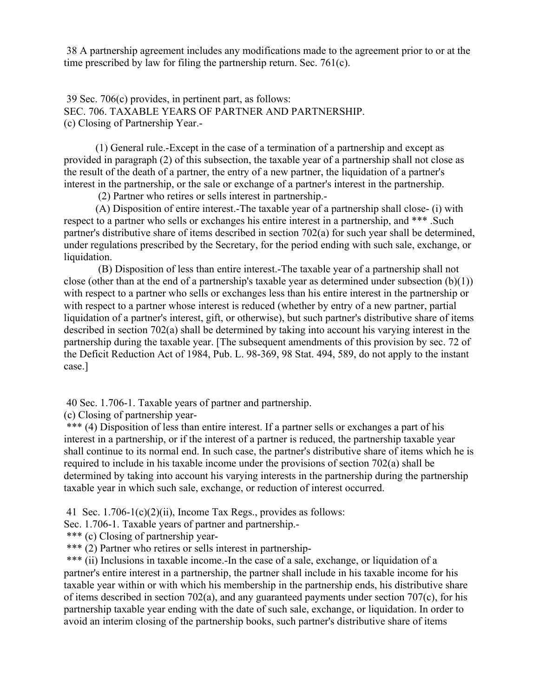38 A partnership agreement includes any modifications made to the agreement prior to or at the time prescribed by law for filing the partnership return. Sec. 761(c).

39 Sec. 706(c) provides, in pertinent part, as follows: SEC. 706. TAXABLE YEARS OF PARTNER AND PARTNERSHIP. (c) Closing of Partnership Year.-

(1) General rule.-Except in the case of a termination of a partnership and except as provided in paragraph (2) of this subsection, the taxable year of a partnership shall not close as the result of the death of a partner, the entry of a new partner, the liquidation of a partner's interest in the partnership, or the sale or exchange of a partner's interest in the partnership.

(2) Partner who retires or sells interest in partnership.-

(A) Disposition of entire interest.-The taxable year of a partnership shall close- (i) with respect to a partner who sells or exchanges his entire interest in a partnership, and \*\*\* .Such partner's distributive share of items described in section 702(a) for such year shall be determined, under regulations prescribed by the Secretary, for the period ending with such sale, exchange, or liquidation.

(B) Disposition of less than entire interest.-The taxable year of a partnership shall not close (other than at the end of a partnership's taxable year as determined under subsection  $(b)(1)$ ) with respect to a partner who sells or exchanges less than his entire interest in the partnership or with respect to a partner whose interest is reduced (whether by entry of a new partner, partial liquidation of a partner's interest, gift, or otherwise), but such partner's distributive share of items described in section 702(a) shall be determined by taking into account his varying interest in the partnership during the taxable year. [The subsequent amendments of this provision by sec. 72 of the Deficit Reduction Act of 1984, Pub. L. 98-369, 98 Stat. 494, 589, do not apply to the instant case.]

40 Sec. 1.706-1. Taxable years of partner and partnership.

(c) Closing of partnership year-

\*\*\* (4) Disposition of less than entire interest. If a partner sells or exchanges a part of his interest in a partnership, or if the interest of a partner is reduced, the partnership taxable year shall continue to its normal end. In such case, the partner's distributive share of items which he is required to include in his taxable income under the provisions of section 702(a) shall be determined by taking into account his varying interests in the partnership during the partnership taxable year in which such sale, exchange, or reduction of interest occurred.

41 Sec. 1.706-1(c)(2)(ii), Income Tax Regs., provides as follows:

Sec. 1.706-1. Taxable years of partner and partnership.-

\*\*\* (c) Closing of partnership year-

\*\*\* (2) Partner who retires or sells interest in partnership-

\*\*\* (ii) Inclusions in taxable income.-In the case of a sale, exchange, or liquidation of a partner's entire interest in a partnership, the partner shall include in his taxable income for his taxable year within or with which his membership in the partnership ends, his distributive share of items described in section 702(a), and any guaranteed payments under section 707(c), for his partnership taxable year ending with the date of such sale, exchange, or liquidation. In order to avoid an interim closing of the partnership books, such partner's distributive share of items